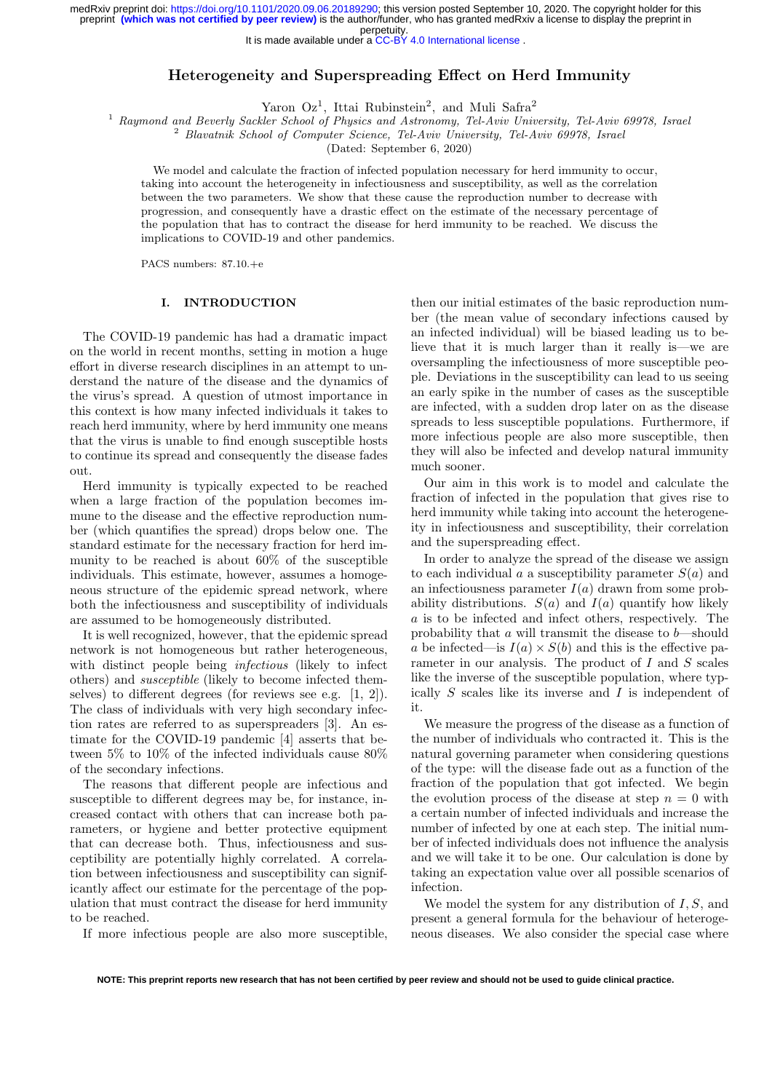It is made available under a [CC-BY 4.0 International license](http://creativecommons.org/licenses/by/4.0/) .

# Heterogeneity and Superspreading Effect on Herd Immunity

Yaron Oz<sup>1</sup>, Ittai Rubinstein<sup>2</sup>, and Muli Safra<sup>2</sup>

<sup>1</sup> Raymond and Beverly Sackler School of Physics and Astronomy, Tel-Aviv University, Tel-Aviv 69978, Israel

<sup>2</sup> Blavatnik School of Computer Science, Tel-Aviv University, Tel-Aviv 69978, Israel

(Dated: September 6, 2020)

We model and calculate the fraction of infected population necessary for herd immunity to occur, taking into account the heterogeneity in infectiousness and susceptibility, as well as the correlation between the two parameters. We show that these cause the reproduction number to decrease with progression, and consequently have a drastic effect on the estimate of the necessary percentage of the population that has to contract the disease for herd immunity to be reached. We discuss the implications to COVID-19 and other pandemics.

PACS numbers: 87.10.+e

# I. INTRODUCTION

The COVID-19 pandemic has had a dramatic impact on the world in recent months, setting in motion a huge effort in diverse research disciplines in an attempt to understand the nature of the disease and the dynamics of the virus's spread. A question of utmost importance in this context is how many infected individuals it takes to reach herd immunity, where by herd immunity one means that the virus is unable to find enough susceptible hosts to continue its spread and consequently the disease fades out.

Herd immunity is typically expected to be reached when a large fraction of the population becomes immune to the disease and the effective reproduction number (which quantifies the spread) drops below one. The standard estimate for the necessary fraction for herd immunity to be reached is about 60% of the susceptible individuals. This estimate, however, assumes a homogeneous structure of the epidemic spread network, where both the infectiousness and susceptibility of individuals are assumed to be homogeneously distributed.

It is well recognized, however, that the epidemic spread network is not homogeneous but rather heterogeneous, with distinct people being *infectious* (likely to infect others) and susceptible (likely to become infected themselves) to different degrees (for reviews see e.g. [1, 2]). The class of individuals with very high secondary infection rates are referred to as superspreaders [3]. An estimate for the COVID-19 pandemic [4] asserts that between 5% to 10% of the infected individuals cause 80% of the secondary infections.

The reasons that different people are infectious and susceptible to different degrees may be, for instance, increased contact with others that can increase both parameters, or hygiene and better protective equipment that can decrease both. Thus, infectiousness and susceptibility are potentially highly correlated. A correlation between infectiousness and susceptibility can significantly affect our estimate for the percentage of the population that must contract the disease for herd immunity to be reached.

If more infectious people are also more susceptible,

then our initial estimates of the basic reproduction number (the mean value of secondary infections caused by an infected individual) will be biased leading us to believe that it is much larger than it really is—we are oversampling the infectiousness of more susceptible people. Deviations in the susceptibility can lead to us seeing an early spike in the number of cases as the susceptible are infected, with a sudden drop later on as the disease spreads to less susceptible populations. Furthermore, if more infectious people are also more susceptible, then they will also be infected and develop natural immunity much sooner.

Our aim in this work is to model and calculate the fraction of infected in the population that gives rise to herd immunity while taking into account the heterogeneity in infectiousness and susceptibility, their correlation and the superspreading effect.

In order to analyze the spread of the disease we assign to each individual a a susceptibility parameter  $S(a)$  and an infectiousness parameter  $I(a)$  drawn from some probability distributions.  $S(a)$  and  $I(a)$  quantify how likely a is to be infected and infect others, respectively. The probability that a will transmit the disease to  $b$ —should a be infected—is  $I(a) \times S(b)$  and this is the effective parameter in our analysis. The product of  $I$  and  $S$  scales like the inverse of the susceptible population, where typically  $S$  scales like its inverse and  $I$  is independent of it.

We measure the progress of the disease as a function of the number of individuals who contracted it. This is the natural governing parameter when considering questions of the type: will the disease fade out as a function of the fraction of the population that got infected. We begin the evolution process of the disease at step  $n = 0$  with a certain number of infected individuals and increase the number of infected by one at each step. The initial number of infected individuals does not influence the analysis and we will take it to be one. Our calculation is done by taking an expectation value over all possible scenarios of infection.

We model the system for any distribution of  $I, S$ , and present a general formula for the behaviour of heterogeneous diseases. We also consider the special case where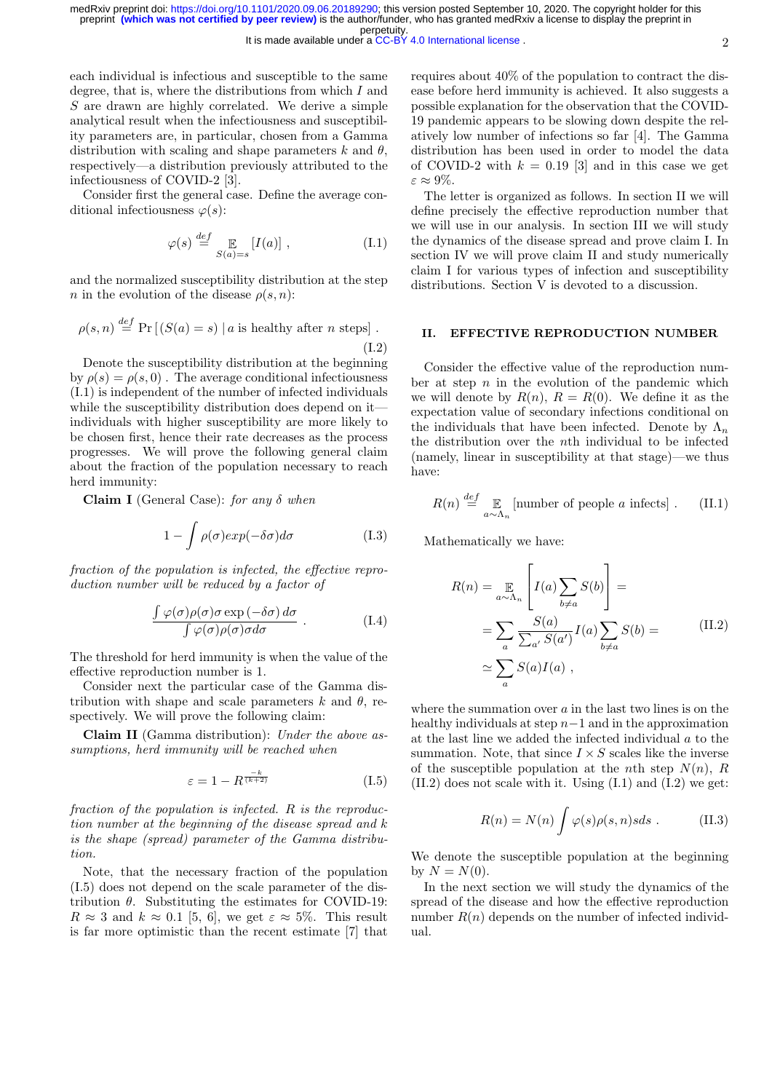each individual is infectious and susceptible to the same degree, that is, where the distributions from which I and S are drawn are highly correlated. We derive a simple analytical result when the infectiousness and susceptibility parameters are, in particular, chosen from a Gamma distribution with scaling and shape parameters k and  $\theta$ , respectively—a distribution previously attributed to the infectiousness of COVID-2 [3].

Consider first the general case. Define the average conditional infectiousness  $\varphi(s)$ :

$$
\varphi(s) \stackrel{def}{=} \mathop{\mathbb{E}}_{S(a)=s} [I(a)], \qquad (I.1)
$$

and the normalized susceptibility distribution at the step n in the evolution of the disease  $\rho(s,n)$ :

$$
\rho(s, n) \stackrel{def}{=} \Pr\left[ (S(a) = s) \mid a \text{ is healthy after } n \text{ steps} \right].
$$
\n(1.2)

Denote the susceptibility distribution at the beginning by  $\rho(s) = \rho(s, 0)$ . The average conditional infectiousness (I.1) is independent of the number of infected individuals while the susceptibility distribution does depend on it individuals with higher susceptibility are more likely to be chosen first, hence their rate decreases as the process progresses. We will prove the following general claim about the fraction of the population necessary to reach herd immunity:

Claim I (General Case): for any  $\delta$  when

$$
1 - \int \rho(\sigma) exp(-\delta \sigma) d\sigma \tag{I.3}
$$

fraction of the population is infected, the effective reproduction number will be reduced by a factor of

$$
\frac{\int \varphi(\sigma)\rho(\sigma)\sigma \exp(-\delta\sigma) d\sigma}{\int \varphi(\sigma)\rho(\sigma)\sigma d\sigma}.
$$
 (I.4)

The threshold for herd immunity is when the value of the effective reproduction number is 1.

Consider next the particular case of the Gamma distribution with shape and scale parameters k and  $\theta$ , respectively. We will prove the following claim:

Claim II (Gamma distribution): Under the above assumptions, herd immunity will be reached when

$$
\varepsilon = 1 - R^{\frac{-k}{(k+2)}} \tag{I.5}
$$

fraction of the population is infected. R is the reproduction number at the beginning of the disease spread and k is the shape (spread) parameter of the Gamma distribution.

Note, that the necessary fraction of the population (I.5) does not depend on the scale parameter of the distribution  $\theta$ . Substituting the estimates for COVID-19:  $R \approx 3$  and  $k \approx 0.1$  [5, 6], we get  $\varepsilon \approx 5\%$ . This result is far more optimistic than the recent estimate [7] that

requires about 40% of the population to contract the disease before herd immunity is achieved. It also suggests a possible explanation for the observation that the COVID-19 pandemic appears to be slowing down despite the relatively low number of infections so far [4]. The Gamma distribution has been used in order to model the data of COVID-2 with  $k = 0.19$  [3] and in this case we get  $\varepsilon \approx 9\%.$ 

The letter is organized as follows. In section II we will define precisely the effective reproduction number that we will use in our analysis. In section III we will study the dynamics of the disease spread and prove claim I. In section IV we will prove claim II and study numerically claim I for various types of infection and susceptibility distributions. Section V is devoted to a discussion.

## II. EFFECTIVE REPRODUCTION NUMBER

Consider the effective value of the reproduction number at step  $n$  in the evolution of the pandemic which we will denote by  $R(n)$ ,  $R = R(0)$ . We define it as the expectation value of secondary infections conditional on the individuals that have been infected. Denote by  $\Lambda_n$ the distribution over the nth individual to be infected (namely, linear in susceptibility at that stage)—we thus have:

$$
R(n) \stackrel{def}{=} \mathop{\mathbb{E}}_{a \sim \Lambda_n} \left[ \text{number of people } a \text{ infects} \right]. \tag{II.1}
$$

Mathematically we have:

$$
R(n) = \mathop{\mathbb{E}}_{a \sim \Lambda_n} \left[ I(a) \sum_{b \neq a} S(b) \right] =
$$
  
= 
$$
\sum_{a} \frac{S(a)}{\sum_{a'} S(a')} I(a) \sum_{b \neq a} S(b) =
$$
 (II.2)  

$$
\simeq \sum_{a} S(a) I(a) ,
$$

where the summation over  $a$  in the last two lines is on the healthy individuals at step  $n-1$  and in the approximation at the last line we added the infected individual a to the summation. Note, that since  $I \times S$  scales like the inverse of the susceptible population at the nth step  $N(n)$ , R  $(II.2)$  does not scale with it. Using  $(I.1)$  and  $(I.2)$  we get:

$$
R(n) = N(n) \int \varphi(s)\rho(s,n)s ds . \qquad (II.3)
$$

We denote the susceptible population at the beginning by  $N = N(0)$ .

In the next section we will study the dynamics of the spread of the disease and how the effective reproduction number  $R(n)$  depends on the number of infected individual.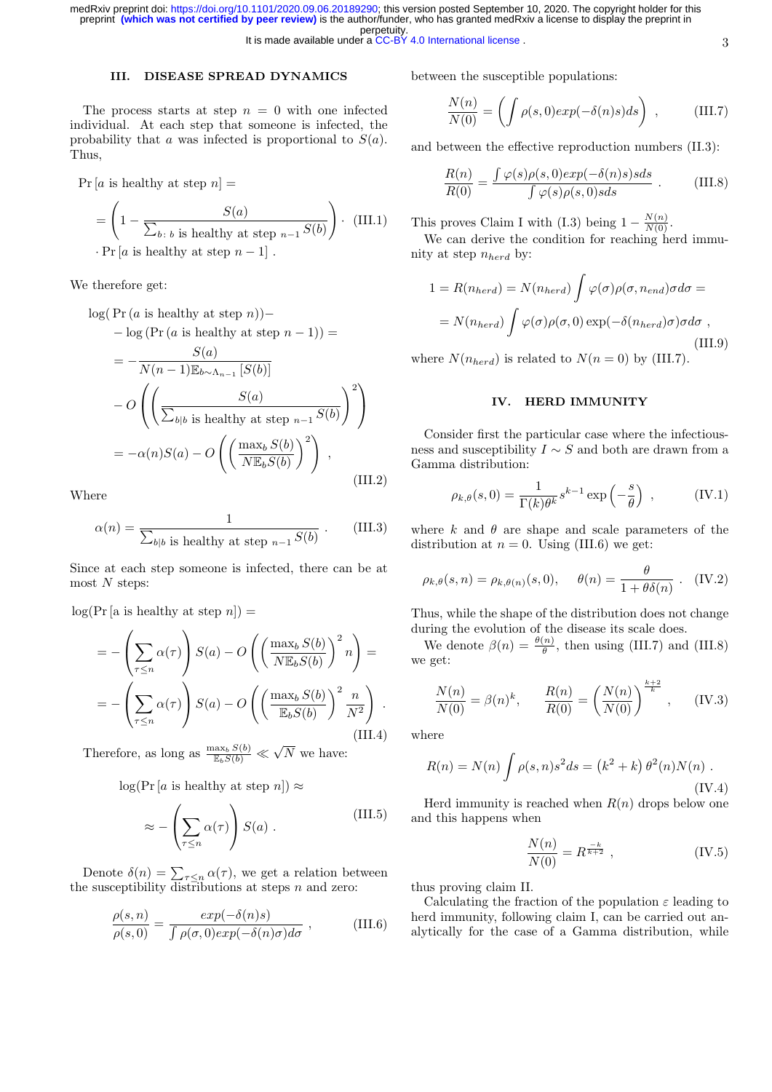It is made available under a [CC-BY 4.0 International license](http://creativecommons.org/licenses/by/4.0/) .

# III. DISEASE SPREAD DYNAMICS

The process starts at step  $n = 0$  with one infected individual. At each step that someone is infected, the probability that a was infected is proportional to  $S(a)$ . Thus,

 $Pr[a \text{ is healthy at step } n] =$ 

$$
= \left(1 - \frac{S(a)}{\sum_{b \colon b \text{ is healthy at step } n-1} S(b)}\right) \cdot (III.1)
$$

$$
\cdot \Pr[a \text{ is healthy at step } n-1].
$$

We therefore get:

$$
\log(\Pr(a \text{ is healthy at step } n)) -
$$
  
\n
$$
- \log(\Pr(a \text{ is healthy at step } n - 1)) =
$$
  
\n
$$
= -\frac{S(a)}{N(n-1)\mathbb{E}_{b \sim \Lambda_{n-1}}[S(b)]}
$$
  
\n
$$
-O\left(\left(\frac{S(a)}{\sum_{b|b} \text{ is healthy at step } n-1} \frac{S(b)}{S(b)}\right)^2\right)
$$
  
\n
$$
= -\alpha(n)S(a) - O\left(\left(\frac{\max_b S(b)}{N\mathbb{E}_b S(b)}\right)^2\right),
$$
\n(III.2)

Where

$$
\alpha(n) = \frac{1}{\sum_{b|b \text{ is healthy at step } n-1} S(b)} \ . \tag{III.3}
$$

Since at each step someone is infected, there can be at most  $N$  steps:

 $log(Pr [a \text{ is healthy at step } n]) =$ 

$$
= -\left(\sum_{\tau \le n} \alpha(\tau)\right) S(a) - O\left(\left(\frac{\max_b S(b)}{N \mathbb{E}_b S(b)}\right)^2 n\right) =
$$

$$
= -\left(\sum_{\tau \le n} \alpha(\tau)\right) S(a) - O\left(\left(\frac{\max_b S(b)}{\mathbb{E}_b S(b)}\right)^2 \frac{n}{N^2}\right).
$$
(III.4)

Therefore, as long as  $\frac{\max_b S(b)}{\mathbb{E}_b S(b)} \ll$ √ N we have:

 $log(Pr [a \text{ is healthy at step } n]) \approx$ 

$$
\approx -\left(\sum_{\tau \le n} \alpha(\tau)\right) S(a) . \tag{III.5}
$$

Denote  $\delta(n) = \sum_{\tau \leq n} \alpha(\tau)$ , we get a relation between the susceptibility distributions at steps  $n$  and zero:

$$
\frac{\rho(s,n)}{\rho(s,0)} = \frac{\exp(-\delta(n)s)}{\int \rho(\sigma,0) \exp(-\delta(n)\sigma) d\sigma},
$$
 (III.6)

between the susceptible populations:

$$
\frac{N(n)}{N(0)} = \left(\int \rho(s, 0) exp(-\delta(n)s) ds\right) ,\qquad \text{(III.7)}
$$

and between the effective reproduction numbers (II.3):

$$
\frac{R(n)}{R(0)} = \frac{\int \varphi(s)\rho(s,0)exp(-\delta(n)s)sds}{\int \varphi(s)\rho(s,0)sds} .
$$
 (III.8)

This proves Claim I with (I.3) being  $1 - \frac{N(n)}{N(0)}$ .

We can derive the condition for reaching herd immunity at step  $n_{herd}$  by:

$$
1 = R(n_{herd}) = N(n_{herd}) \int \varphi(\sigma) \rho(\sigma, n_{end}) \sigma d\sigma =
$$
  
=  $N(n_{herd}) \int \varphi(\sigma) \rho(\sigma, 0) \exp(-\delta(n_{herd}) \sigma) \sigma d\sigma$ , (III.9)

where  $N(n_{herd})$  is related to  $N(n = 0)$  by (III.7).

## IV. HERD IMMUNITY

Consider first the particular case where the infectiousness and susceptibility  $I \sim S$  and both are drawn from a Gamma distribution:

$$
\rho_{k,\theta}(s,0) = \frac{1}{\Gamma(k)\theta^k} s^{k-1} \exp\left(-\frac{s}{\theta}\right) ,\qquad (\text{IV}.1)
$$

where k and  $\theta$  are shape and scale parameters of the distribution at  $n = 0$ . Using (III.6) we get:

$$
\rho_{k,\theta}(s,n) = \rho_{k,\theta(n)}(s,0), \quad \theta(n) = \frac{\theta}{1+\theta\delta(n)}.
$$
 (IV.2)

Thus, while the shape of the distribution does not change during the evolution of the disease its scale does.

We denote  $\beta(n) = \frac{\theta(n)}{\theta}$ , then using (III.7) and (III.8) we get:

$$
\frac{N(n)}{N(0)} = \beta(n)^k, \qquad \frac{R(n)}{R(0)} = \left(\frac{N(n)}{N(0)}\right)^{\frac{k+2}{k}}, \qquad (IV.3)
$$

where

$$
R(n) = N(n) \int \rho(s, n) s^2 ds = (k^2 + k) \theta^2(n) N(n) .
$$
 (IV.4)

Herd immunity is reached when  $R(n)$  drops below one and this happens when

$$
\frac{N(n)}{N(0)} = R^{\frac{-k}{k+2}},
$$
\n(IV.5)

thus proving claim II.

Calculating the fraction of the population  $\varepsilon$  leading to herd immunity, following claim I, can be carried out analytically for the case of a Gamma distribution, while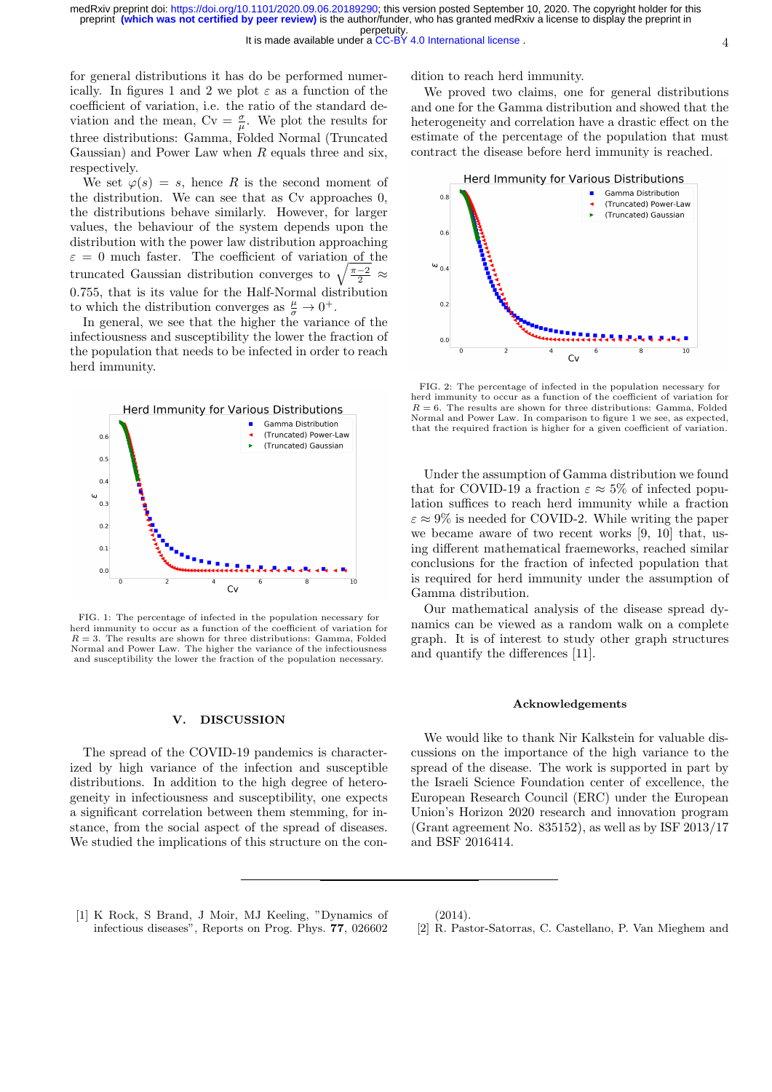for general distributions it has do be performed numerically. In figures 1 and 2 we plot  $\varepsilon$  as a function of the coefficient of variation, i.e. the ratio of the standard deviation and the mean,  $Cv = \frac{\sigma}{\mu}$ . We plot the results for three distributions: Gamma, Folded Normal (Truncated Gaussian) and Power Law when  $R$  equals three and six, respectively.

We set  $\varphi(s) = s$ , hence R is the second moment of the distribution. We can see that as Cv approaches 0, the distributions behave similarly. However, for larger values, the behaviour of the system depends upon the distribution with the power law distribution approaching  $\varepsilon = 0$  much faster. The coefficient of variation of the truncated Gaussian distribution converges to  $\sqrt{\frac{\pi-2}{2}} \approx$ 0.755, that is its value for the Half-Normal distribution to which the distribution converges as  $\frac{\mu}{\sigma} \to 0^+$ .

In general, we see that the higher the variance of the infectiousness and susceptibility the lower the fraction of the population that needs to be infected in order to reach herd immunity.



FIG. 1: The percentage of infected in the population necessary for herd immunity to occur as a function of the coefficient of variation for  $R = 3$ . The results are shown for three distributions: Gamma, Folded Normal and Power Law. The higher the variance of the infectiousness and susceptibility the lower the fraction of the population necessary.

### V. DISCUSSION

The spread of the COVID-19 pandemics is characterized by high variance of the infection and susceptible distributions. In addition to the high degree of heterogeneity in infectiousness and susceptibility, one expects a significant correlation between them stemming, for instance, from the social aspect of the spread of diseases. We studied the implications of this structure on the condition to reach herd immunity.

We proved two claims, one for general distributions and one for the Gamma distribution and showed that the heterogeneity and correlation have a drastic effect on the estimate of the percentage of the population that must contract the disease before herd immunity is reached.



FIG. 2: The percentage of infected in the population necessary for herd immunity to occur as a function of the coefficient of variation for  $R = 6$ . The results are shown for three distributions: Gamma, Folded Normal and Power Law. In comparison to figure 1 we see, as expected, that the required fraction is higher for a given coefficient of variation.

Under the assumption of Gamma distribution we found that for COVID-19 a fraction  $\varepsilon \approx 5\%$  of infected population suffices to reach herd immunity while a fraction  $\varepsilon \approx 9\%$  is needed for COVID-2. While writing the paper we became aware of two recent works [9, 10] that, using different mathematical fraemeworks, reached similar conclusions for the fraction of infected population that is required for herd immunity under the assumption of Gamma distribution.

Our mathematical analysis of the disease spread dynamics can be viewed as a random walk on a complete graph. It is of interest to study other graph structures and quantify the differences [11].

#### Acknowledgements

We would like to thank Nir Kalkstein for valuable discussions on the importance of the high variance to the spread of the disease. The work is supported in part by the Israeli Science Foundation center of excellence, the European Research Council (ERC) under the European Union's Horizon 2020 research and innovation program (Grant agreement No.  $835152$ ), as well as by ISF  $2013/17$ and BSF 2016414.

[1] K Rock, S Brand, J Moir, MJ Keeling, "Dynamics of infectious diseases", Reports on Prog. Phys. 77, 026602 (2014).

[2] R. Pastor-Satorras, C. Castellano, P. Van Mieghem and